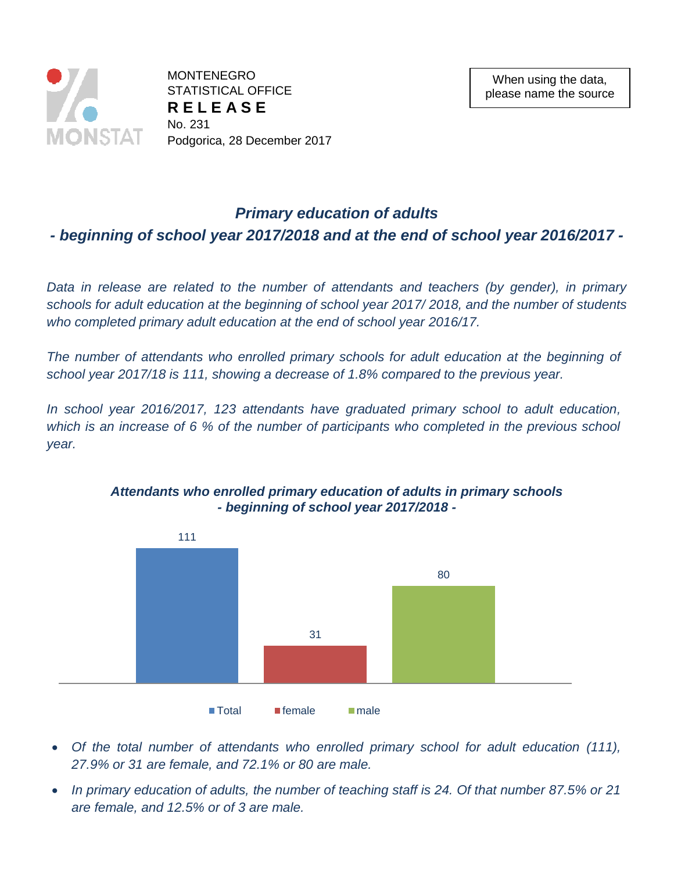

MONTENEGRO STATISTICAL OFFICE **R E L E A S E**  No. 231 Podgorica, 28 December 2017

## *Primary education of adults*

*- beginning of school year 2017/2018 and at the end of school year 2016/2017 -*

*Data in release are related to the number of attendants and teachers (by gender), in primary schools for adult education at the beginning of school year 2017/ 2018, and the number of students who completed primary adult education at the end of school year 2016/17.*

*The number of attendants who enrolled primary schools for adult education at the beginning of school year 2017/18 is 111, showing a decrease of 1.8% compared to the previous year.*

*In school year 2016/2017, 123 attendants have graduated primary school to adult education, which is an increase of 6 % of the number of participants who completed in the previous school year.*



*Attendants who enrolled primary education of adults in primary schools - beginning of school year 2017/2018 -*

- *Of the total number of attendants who enrolled primary school for adult education (111), 27.9% or 31 are female, and 72.1% or 80 are male.*
- *In primary education of adults, the number of teaching staff is 24. Of that number 87.5% or 21 are female, and 12.5% or of 3 are male.*